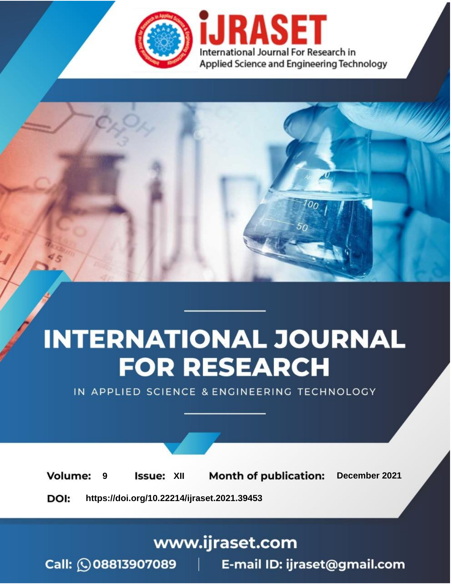

# **INTERNATIONAL JOURNAL FOR RESEARCH**

IN APPLIED SCIENCE & ENGINEERING TECHNOLOGY

**Month of publication: Volume: Issue: XII** December 2021 9 DOI: https://doi.org/10.22214/ijraset.2021.39453

www.ijraset.com

Call: 008813907089 | E-mail ID: ijraset@gmail.com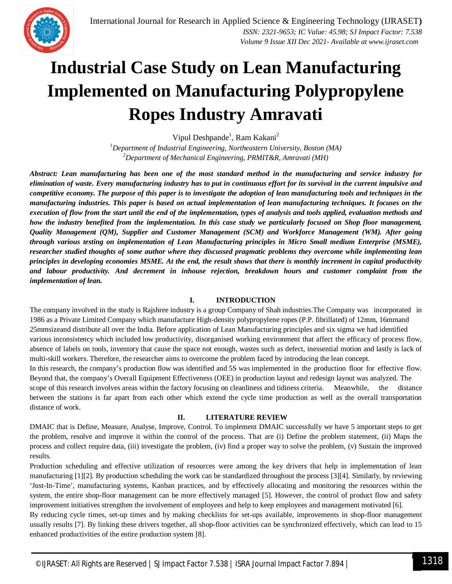

Vipul Deshpande<sup>1</sup>, Ram Kakani<sup>2</sup>

*<sup>1</sup>Department of Industrial Engineering, Northeastern University, Boston (MA) <sup>2</sup>Department of Mechanical Engineering, PRMIT&R, Amravati (MH)*

*Abstract: Lean manufacturing has been one of the most standard method in the manufacturing and service industry for elimination of waste. Every manufacturing industry has to put in continuous effort for its survival in the current impulsive and competitive economy. The purpose of this paper is to investigate the adoption of lean manufacturing tools and techniques in the manufacturing industries. This paper is based on actual implementation of lean manufacturing techniques. It focuses on the execution of flow from the start until the end of the implementation, types of analysis and tools applied, evaluation methods and how the industry benefited from the implementation. In this case study we particularly focused on Shop floor management, Quality Management (QM), Supplier and Customer Management (SCM) and Workforce Management (WM). After going through various testing on implementation of Lean Manufacturing principles in Micro Small medium Enterprise (MSME), researcher studied thoughts of some author where they discussed pragmatic problems they overcome while implementing lean principles in developing economies MSME. At the end, the result shows that there is monthly increment in capital productivity and labour productivity. And decrement in inhouse rejection, breakdown hours and customer complaint from the implementation of lean.*

## **I. INTRODUCTION**

The company involved in the study is Rajshree industry is a group Company of Shah industries.The Company was incorporated in 1986 as a Private Limited Company which manufacture High-density polypropylene ropes (P.P. fibrillated) of 12mm, 16mmand 25mmsizeand distribute all over the India. Before application of Lean Manufacturing principles and six sigma we had identified various inconsistency which included low productivity, disorganised working environment that affect the efficacy of process flow, absence of labels on tools, inventory that cause the space not enough, wastes such as defect, inessential motion and lastly is lack of multi-skill workers. Therefore, the researcher aims to overcome the problem faced by introducing the lean concept.

In this research, the company's production flow was identified and 5S was implemented in the production floor for effective flow. Beyond that, the company's Overall Equipment Effectiveness (OEE) in production layout and redesign layout was analyzed. The scope of this research involves areas within the factory focusing on cleanliness and tidiness criteria. Meanwhile, the distance between the stations is far apart from each other which extend the cycle time production as well as the overall transportation distance of work.

## **II. LITERATURE REVIEW**

DMAIC that is Define, Measure, Analyse, Improve, Control. To implement DMAIC successfully we have 5 important steps to get the problem, resolve and improve it within the control of the process. That are (i) Define the problem statement, (ii) Maps the process and collect require data, (iii) investigate the problem, (iv) find a proper way to solve the problem, (v) Sustain the improved results.

Production scheduling and effective utilization of resources were among the key drivers that help in implementation of lean manufacturing [1][2]. By production scheduling the work can be standardized throughout the process [3][4]. Similarly, by reviewing 'Just-In-Time', manufacturing systems, Kanban practices, and by effectively allocating and monitoring the resources within the system, the entire shop-floor management can be more effectively managed [5]. However, the control of product flow and safety improvement initiatives strengthen the involvement of employees and help to keep employees and management motivated [6].

By reducing cycle times, set-up times and by making checklists for set-ups available, improvements in shop-floor management usually results [7]. By linking these drivers together, all shop-floor activities can be synchronized effectively, which can lead to 15 enhanced productivities of the entire production system [8].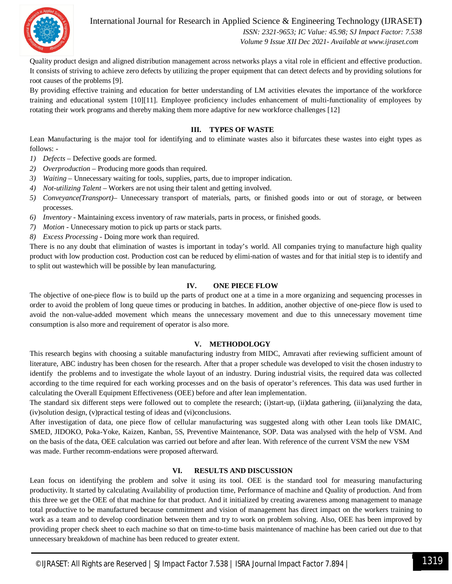

International Journal for Research in Applied Science & Engineering Technology (IJRASET**)**  *ISSN: 2321-9653; IC Value: 45.98; SJ Impact Factor: 7.538*

 *Volume 9 Issue XII Dec 2021- Available at www.ijraset.com*

Quality product design and aligned distribution management across networks plays a vital role in efficient and effective production. It consists of striving to achieve zero defects by utilizing the proper equipment that can detect defects and by providing solutions for root causes of the problems [9].

By providing effective training and education for better understanding of LM activities elevates the importance of the workforce training and educational system [10][11]. Employee proficiency includes enhancement of multi-functionality of employees by rotating their work programs and thereby making them more adaptive for new workforce challenges [12]

#### **III. TYPES OF WASTE**

Lean Manufacturing is the major tool for identifying and to eliminate wastes also it bifurcates these wastes into eight types as follows: -

- *1) Defects –* Defective goods are formed.
- *2) Overproduction* Producing more goods than required.
- *3) Waiting –* Unnecessary waiting for tools, supplies, parts, due to improper indication.
- *4) Not-utilizing Talent* Workers are not using their talent and getting involved.
- *5) Conveyance(Transport)–* Unnecessary transport of materials, parts, or finished goods into or out of storage, or between processes.
- *6) Inventory -* Maintaining excess inventory of raw materials, parts in process, or finished goods.
- *7) Motion* Unnecessary motion to pick up parts or stack parts.
- *8) Excess Processing*  Doing more work than required.

There is no any doubt that elimination of wastes is important in today's world. All companies trying to manufacture high quality product with low production cost. Production cost can be reduced by elimi-nation of wastes and for that initial step is to identify and to split out wastewhich will be possible by lean manufacturing.

#### **IV. ONE PIECE FLOW**

The objective of one-piece flow is to build up the parts of product one at a time in a more organizing and sequencing processes in order to avoid the problem of long queue times or producing in batches. In addition, another objective of one-piece flow is used to avoid the non-value-added movement which means the unnecessary movement and due to this unnecessary movement time consumption is also more and requirement of operator is also more.

#### **V. METHODOLOGY**

This research begins with choosing a suitable manufacturing industry from MIDC, Amravati after reviewing sufficient amount of literature, ABC industry has been chosen for the research. After that a proper schedule was developed to visit the chosen industry to identify the problems and to investigate the whole layout of an industry. During industrial visits, the required data was collected according to the time required for each working processes and on the basis of operator's references. This data was used further in calculating the Overall Equipment Effectiveness (OEE) before and after lean implementation.

The standard six different steps were followed out to complete the research; (i)start-up, (ii)data gathering, (iii)analyzing the data, (iv)solution design, (v)practical testing of ideas and (vi)conclusions.

After investigation of data, one piece flow of cellular manufacturing was suggested along with other Lean tools like DMAIC, SMED, JIDOKO, Poka-Yoke, Kaizen, Kanban, 5S, Preventive Maintenance, SOP. Data was analysed with the help of VSM. And on the basis of the data, OEE calculation was carried out before and after lean. With reference of the current VSM the new VSM was made. Further recomm-endations were proposed afterward.

#### **VI. RESULTS AND DISCUSSION**

Lean focus on identifying the problem and solve it using its tool. OEE is the standard tool for measuring manufacturing productivity. It started by calculating Availability of production time, Performance of machine and Quality of production. And from this three we get the OEE of that machine for that product. And it initialized by creating awareness among management to manage total productive to be manufactured because commitment and vision of management has direct impact on the workers training to work as a team and to develop coordination between them and try to work on problem solving. Also, OEE has been improved by providing proper check sheet to each machine so that on time-to-time basis maintenance of machine has been caried out due to that unnecessary breakdown of machine has been reduced to greater extent.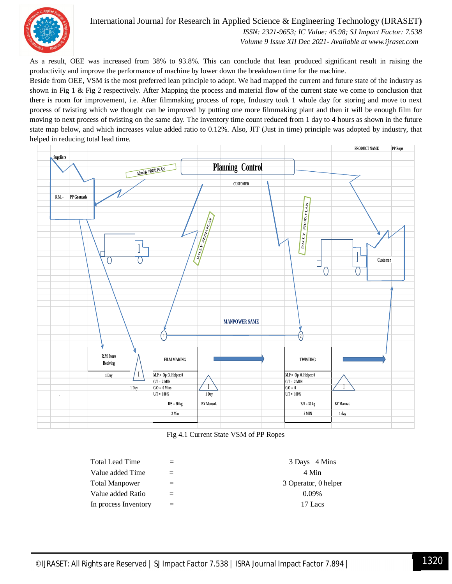

# International Journal for Research in Applied Science & Engineering Technology (IJRASET**)**

 *ISSN: 2321-9653; IC Value: 45.98; SJ Impact Factor: 7.538 Volume 9 Issue XII Dec 2021- Available at www.ijraset.com*

As a result, OEE was increased from 38% to 93.8%. This can conclude that lean produced significant result in raising the productivity and improve the performance of machine by lower down the breakdown time for the machine.

Beside from OEE, VSM is the most preferred lean principle to adopt. We had mapped the current and future state of the industry as shown in Fig 1 & Fig 2 respectively. After Mapping the process and material flow of the current state we come to conclusion that there is room for improvement, i.e. After filmmaking process of rope, Industry took 1 whole day for storing and move to next process of twisting which we thought can be improved by putting one more filmmaking plant and then it will be enough film for moving to next process of twisting on the same day. The inventory time count reduced from 1 day to 4 hours as shown in the future state map below, and which increases value added ratio to 0.12%. Also, JIT (Just in time) principle was adopted by industry, that helped in reducing total lead time.



Fig 4.1 Current State VSM of PP Ropes

| Total Lead Time      |         | 3 Days 4 Mins        |
|----------------------|---------|----------------------|
| Value added Time     | $=$ $-$ | 4 Min                |
| Total Manpower       | $=$     | 3 Operator, 0 helper |
| Value added Ratio    | $=$     | $0.09\%$             |
| In process Inventory | $=$     | 17 Lacs              |
|                      |         |                      |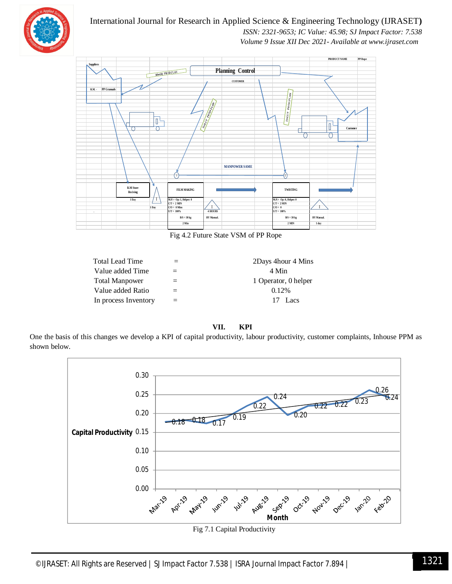

# International Journal for Research in Applied Science & Engineering Technology (IJRASET**)**  *ISSN: 2321-9653; IC Value: 45.98; SJ Impact Factor: 7.538 Volume 9 Issue XII Dec 2021- Available at www.ijraset.com*



Fig 4.2 Future State VSM of PP Rope

| Total Lead Time      |     | 2Days 4hour 4 Mins   |
|----------------------|-----|----------------------|
| Value added Time     |     | 4 Min                |
| Total Manpower       | $=$ | 1 Operator, 0 helper |
| Value added Ratio    |     | 0.12%                |
| In process Inventory |     | 17 Lacs              |

**VII. KPI**

One the basis of this changes we develop a KPI of capital productivity, labour productivity, customer complaints, Inhouse PPM as shown below.



Fig 7.1 Capital Productivity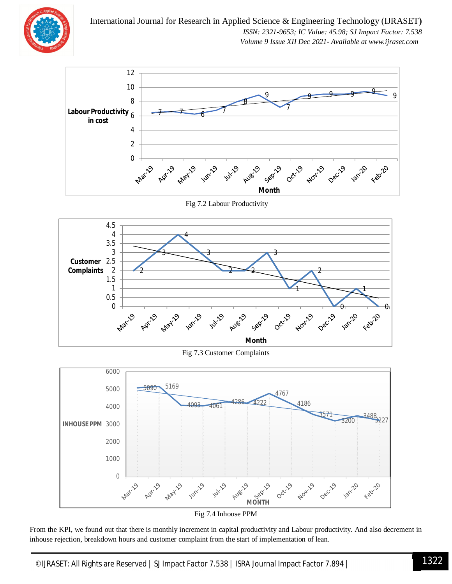



Fig 7.2 Labour Productivity



Fig 7.3 Customer Complaints





From the KPI, we found out that there is monthly increment in capital productivity and Labour productivity. And also decrement in inhouse rejection, breakdown hours and customer complaint from the start of implementation of lean.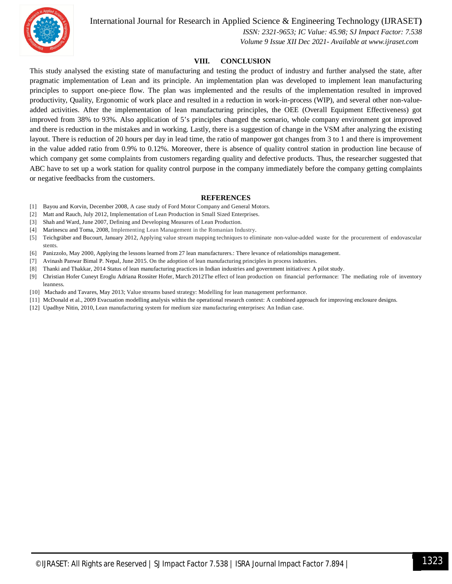

International Journal for Research in Applied Science & Engineering Technology (IJRASET**)**

 *ISSN: 2321-9653; IC Value: 45.98; SJ Impact Factor: 7.538 Volume 9 Issue XII Dec 2021- Available at www.ijraset.com*

#### **VIII. CONCLUSION**

This study analysed the existing state of manufacturing and testing the product of industry and further analysed the state, after pragmatic implementation of Lean and its principle. An implementation plan was developed to implement lean manufacturing principles to support one-piece flow. The plan was implemented and the results of the implementation resulted in improved productivity, Quality, Ergonomic of work place and resulted in a reduction in work-in-process (WIP), and several other non-valueadded activities. After the implementation of lean manufacturing principles, the OEE (Overall Equipment Effectiveness) got improved from 38% to 93%. Also application of 5's principles changed the scenario, whole company environment got improved and there is reduction in the mistakes and in working. Lastly, there is a suggestion of change in the VSM after analyzing the existing layout. There is reduction of 20 hours per day in lead time, the ratio of manpower got changes from 3 to 1 and there is improvement in the value added ratio from 0.9% to 0.12%. Moreover, there is absence of quality control station in production line because of which company get some complaints from customers regarding quality and defective products. Thus, the researcher suggested that ABC have to set up a work station for quality control purpose in the company immediately before the company getting complaints or negative feedbacks from the customers.

#### **REFERENCES**

- [1] Bayou and Korvin, December 2008, A case study of Ford Motor Company and General Motors.
- [2] Matt and Rauch, July 2012, Implementation of Lean Production in Small Sized Enterprises.
- [3] Shah and Ward, June 2007, Defining and Developing Measures of Lean Production.
- [4] Marinescu and Toma, 2008, Implementing Lean Management in the Romanian Industry.
- [5] Teichgräber and Bucourt, January 2012, Applying value stream mapping techniques to eliminate non-value-added waste for the procurement of endovascular stents.
- [6] Panizzolo, May 2000, Applying the lessons learned from 27 lean manufacturers.: There levance of relationships management.
- [7] Avinash Panwar Bimal P. Nepal, June 2015. On the adoption of lean manufacturing principles in process industries.
- [8] Thanki and Thakkar, 2014 Status of lean manufacturing practices in Indian industries and government initiatives: A pilot study.
- [9] Christian Hofer Cuneyt Eroglu Adriana Rossiter Hofer, March 2012The effect of lean production on financial performance: The mediating role of inventory leanness.
- [10] Machado and Tavares, May 2013; Value streams based strategy: Modelling for lean management performance.
- [11] McDonald et al., 2009 Evacuation modelling analysis within the operational research context: A combined approach for improving enclosure designs.
- [12] Upadhye Nitin, 2010, Lean manufacturing system for medium size manufacturing enterprises: An Indian case.